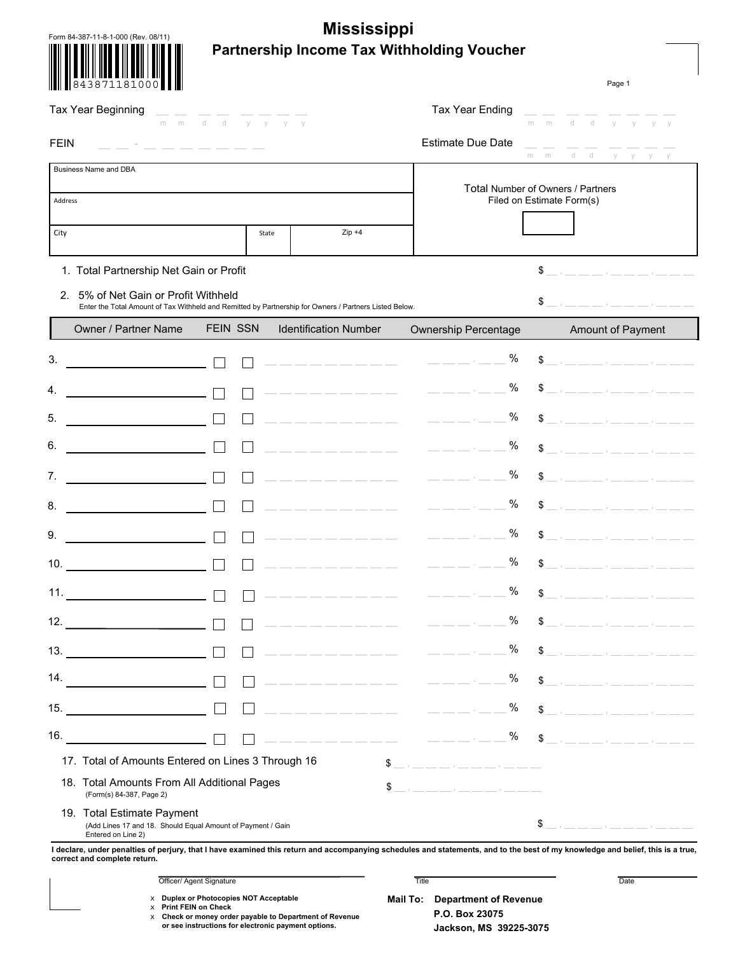| <b>Mississippi</b><br>Form 84-387-11-8-1-000 (Rev. 08/11)                                                                                      |                         |                              |                                                                                                                                                                                                                                                                                                                                                                                                   |                                                                |  |  |
|------------------------------------------------------------------------------------------------------------------------------------------------|-------------------------|------------------------------|---------------------------------------------------------------------------------------------------------------------------------------------------------------------------------------------------------------------------------------------------------------------------------------------------------------------------------------------------------------------------------------------------|----------------------------------------------------------------|--|--|
| Partnership Income Tax Withholding Voucher                                                                                                     |                         |                              |                                                                                                                                                                                                                                                                                                                                                                                                   |                                                                |  |  |
|                                                                                                                                                |                         |                              |                                                                                                                                                                                                                                                                                                                                                                                                   | Page 1                                                         |  |  |
| Tax Year Beginning                                                                                                                             | m m d d $v$ $v$ $v$ $v$ |                              | <b>Tax Year Ending</b>                                                                                                                                                                                                                                                                                                                                                                            | mmddyy<br>y y                                                  |  |  |
| <b>FEIN</b>                                                                                                                                    |                         |                              | <b>Estimate Due Date</b>                                                                                                                                                                                                                                                                                                                                                                          | d d y y y y<br>m.<br>m                                         |  |  |
| Business Name and DBA                                                                                                                          |                         |                              |                                                                                                                                                                                                                                                                                                                                                                                                   |                                                                |  |  |
| Address                                                                                                                                        |                         |                              |                                                                                                                                                                                                                                                                                                                                                                                                   | Total Number of Owners / Partners<br>Filed on Estimate Form(s) |  |  |
| City                                                                                                                                           |                         | $Zip +4$<br>State            |                                                                                                                                                                                                                                                                                                                                                                                                   |                                                                |  |  |
| 1. Total Partnership Net Gain or Profit                                                                                                        |                         |                              |                                                                                                                                                                                                                                                                                                                                                                                                   | $\texttt{\$}$ _ , _ _ _ _ , _ , _ _ _ , _ _ _ , _ _            |  |  |
| 2. 5% of Net Gain or Profit Withheld<br>Enter the Total Amount of Tax Withheld and Remitted by Partnership for Owners / Partners Listed Below. |                         |                              |                                                                                                                                                                                                                                                                                                                                                                                                   | $\frac{1}{2}$ , _ _ _ _ , _ , _ _ , _ , _ _                    |  |  |
| Owner / Partner Name                                                                                                                           | <b>FEIN SSN</b>         | <b>Identification Number</b> | <b>Ownership Percentage</b>                                                                                                                                                                                                                                                                                                                                                                       | Amount of Payment                                              |  |  |
| 3.                                                                                                                                             |                         |                              | %                                                                                                                                                                                                                                                                                                                                                                                                 | $\texttt{\$}$ _ , _ _ _ _ , _ , _ _ _ , _ _                    |  |  |
|                                                                                                                                                |                         |                              | %                                                                                                                                                                                                                                                                                                                                                                                                 | $\texttt{\$}$ _ , _ _ _ _ , _ , _ _ _ , _ _                    |  |  |
| 5.                                                                                                                                             |                         | __ __ __ __ __ __ __ __ __   | %<br>$\frac{1}{2} \frac{1}{2} \frac{1}{2} \frac{1}{2} \frac{1}{2} \frac{1}{2} \frac{1}{2} \frac{1}{2} \frac{1}{2} \frac{1}{2} \frac{1}{2} \frac{1}{2} \frac{1}{2} \frac{1}{2} \frac{1}{2} \frac{1}{2} \frac{1}{2} \frac{1}{2} \frac{1}{2} \frac{1}{2} \frac{1}{2} \frac{1}{2} \frac{1}{2} \frac{1}{2} \frac{1}{2} \frac{1}{2} \frac{1}{2} \frac{1}{2} \frac{1}{2} \frac{1}{2} \frac{1}{2} \frac{$ | $\texttt{\$}$ _ , _ _ _ _ , _ , _ _ _ , _ _                    |  |  |
| 6.                                                                                                                                             |                         |                              | %                                                                                                                                                                                                                                                                                                                                                                                                 | $\texttt{\$}$ _ , _ _ _ _ , _ , _ _ _ , _ , _ _                |  |  |
| 7.                                                                                                                                             |                         |                              | %                                                                                                                                                                                                                                                                                                                                                                                                 | $\texttt{\$}$ _ , _ _ _ , _ , _ _ _ , _ _ _ , _                |  |  |
| 8.                                                                                                                                             |                         |                              | %                                                                                                                                                                                                                                                                                                                                                                                                 | $\texttt{\$}$ _ , _ _ _ _ , _ , _ , _ _ , _ , _                |  |  |
| 9.                                                                                                                                             |                         |                              | %                                                                                                                                                                                                                                                                                                                                                                                                 | \$ __ , __ __ __ , __ __ , __ __ , ___                         |  |  |
| 10.                                                                                                                                            |                         |                              | $\%$                                                                                                                                                                                                                                                                                                                                                                                              | $\mathbf{r}$ and $\mathbf{r}$ are the set of $\mathbf{r}$      |  |  |
| 11.                                                                                                                                            |                         |                              | $\%$                                                                                                                                                                                                                                                                                                                                                                                              | $\mathbb{S}$                                                   |  |  |
| 12.<br><u> 1990 - Johann Barbara, martin a</u>                                                                                                 |                         |                              | $\%$<br><u> La La La La La La La La La</u>                                                                                                                                                                                                                                                                                                                                                        | \$                                                             |  |  |
| 13.<br><u> 1990 - Johann Barbara, martin a</u>                                                                                                 |                         |                              | $\%$<br><u> Liberal Liberal (m. 1919)</u>                                                                                                                                                                                                                                                                                                                                                         | \$                                                             |  |  |
| 14.                                                                                                                                            |                         |                              | $\%$<br><u> Liberalis Liberal (m. 1944)</u>                                                                                                                                                                                                                                                                                                                                                       | $\texttt{\$}$ _ , _ _ _ _ , _ , _ _ _ , _ _ _ _                |  |  |
| 15.                                                                                                                                            |                         |                              | $\%$<br><u> Liberalis Liberal (m. 1944)</u>                                                                                                                                                                                                                                                                                                                                                       | $$,-,-$                                                        |  |  |
| 16.                                                                                                                                            |                         |                              | —————————————————— <sup>%</sup>                                                                                                                                                                                                                                                                                                                                                                   | $\texttt{\$}$ _ , _ _ _ _ , _ , _ , _ _ , _ , _                |  |  |
| 17. Total of Amounts Entered on Lines 3 Through 16                                                                                             |                         |                              |                                                                                                                                                                                                                                                                                                                                                                                                   |                                                                |  |  |
| 18. Total Amounts From All Additional Pages<br>(Form(s) 84-387, Page 2)                                                                        |                         |                              | $\frac{1}{2}$ , _ _ _ _ , _ , _ _ _ , _ , _ _                                                                                                                                                                                                                                                                                                                                                     |                                                                |  |  |
| 19. Total Estimate Payment<br>(Add Lines 17 and 18. Should Equal Amount of Payment / Gain<br>Entered on Line 2)                                |                         |                              |                                                                                                                                                                                                                                                                                                                                                                                                   | $\texttt{\$}$ _ , _ _ _ _ , _ , _ _ _ , _ _ _ , _ _            |  |  |

**I declare, under penalties of perjury, that I have examined this return and accompanying schedules and statements, and to the best of my knowledge and belief, this is a true, correct and complete return.**

| Officer/<br>Signature<br>Agent !<br>. | Title<br>. | Date |
|---------------------------------------|------------|------|
|                                       |            |      |

x **Duplex or Photocopies NOT Acceptable** x **Print FEIN on Check**

**or see instructions for electronic payment options.**  x **Check or money order payable to Department of Revenue**